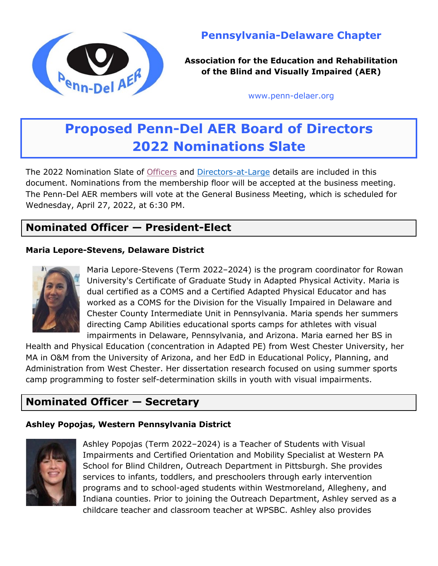

# **Pennsylvania-Delaware Chapter**

**Association for the Education and Rehabilitation of the Blind and Visually Impaired (AER)**

[www.penn-delaer.org](https://www.penn-delaer.org/)

# **Proposed Penn-Del AER Board of Directors 2022 Nominations Slate**

The 2022 Nomination Slate of [Officers](#page-0-0) and [Directors-at-Large](#page-1-0) details are included in this document. Nominations from the membership floor will be accepted at the business meeting. The Penn-Del AER members will vote at the General Business Meeting, which is scheduled for Wednesday, April 27, 2022, at 6:30 PM.

## <span id="page-0-0"></span>**Nominated Officer — President-Elect**

#### **Maria Lepore-Stevens, Delaware District**



Maria Lepore-Stevens (Term 2022–2024) is the program coordinator for Rowan University's Certificate of Graduate Study in Adapted Physical Activity. Maria is dual certified as a COMS and a Certified Adapted Physical Educator and has worked as a COMS for the Division for the Visually Impaired in Delaware and Chester County Intermediate Unit in Pennsylvania. Maria spends her summers directing Camp Abilities educational sports camps for athletes with visual impairments in Delaware, Pennsylvania, and Arizona. Maria earned her BS in

Health and Physical Education (concentration in Adapted PE) from West Chester University, her MA in O&M from the University of Arizona, and her EdD in Educational Policy, Planning, and Administration from West Chester. Her dissertation research focused on using summer sports camp programming to foster self-determination skills in youth with visual impairments.

# **Nominated Officer — Secretary**

## **Ashley Popojas, Western Pennsylvania District**



Ashley Popojas (Term 2022–2024) is a Teacher of Students with Visual Impairments and Certified Orientation and Mobility Specialist at Western PA School for Blind Children, Outreach Department in Pittsburgh. She provides services to infants, toddlers, and preschoolers through early intervention programs and to school-aged students within Westmoreland, Allegheny, and Indiana counties. Prior to joining the Outreach Department, Ashley served as a childcare teacher and classroom teacher at WPSBC. Ashley also provides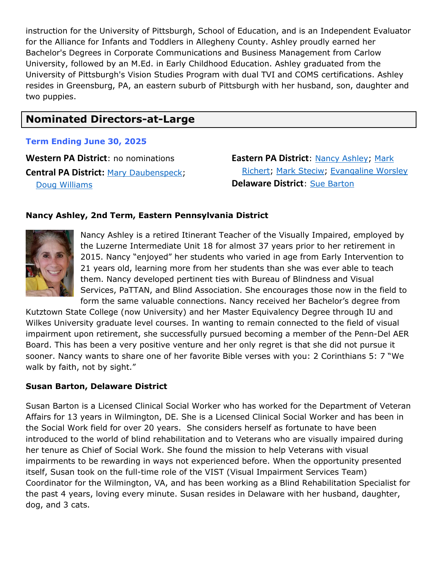instruction for the University of Pittsburgh, School of Education, and is an Independent Evaluator for the Alliance for Infants and Toddlers in Allegheny County. Ashley proudly earned her Bachelor's Degrees in Corporate Communications and Business Management from Carlow University, followed by an M.Ed. in Early Childhood Education. Ashley graduated from the University of Pittsburgh's Vision Studies Program with dual TVI and COMS certifications. Ashley resides in Greensburg, PA, an eastern suburb of Pittsburgh with her husband, son, daughter and two puppies.

## <span id="page-1-0"></span>**Nominated Directors-at-Large**

#### **Term Ending June 30, 2025**

**Western PA District**: no nominations **Central PA District:** [Mary Daubenspeck;](#page-2-0) [Doug Williams](#page-3-0)

**Eastern PA District**: [Nancy Ashley;](#page-1-1) [Mark](#page-2-1)  [Richert;](#page-2-1) [Mark Steciw;](#page-2-2) [Evangaline Worsley](#page-3-1) **Delaware District**: [Sue Barton](#page-1-2)

### <span id="page-1-1"></span>**Nancy Ashley, 2nd Term, Eastern Pennsylvania District**



Nancy Ashley is a retired Itinerant Teacher of the Visually Impaired, employed by the Luzerne Intermediate Unit 18 for almost 37 years prior to her retirement in 2015. Nancy "enjoyed" her students who varied in age from Early Intervention to 21 years old, learning more from her students than she was ever able to teach them. Nancy developed pertinent ties with Bureau of Blindness and Visual Services, PaTTAN, and Blind Association. She encourages those now in the field to form the same valuable connections. Nancy received her Bachelor's degree from

Kutztown State College (now University) and her Master Equivalency Degree through IU and Wilkes University graduate level courses. In wanting to remain connected to the field of visual impairment upon retirement, she successfully pursued becoming a member of the Penn-Del AER Board. This has been a very positive venture and her only regret is that she did not pursue it sooner. Nancy wants to share one of her favorite Bible verses with you: 2 Corinthians 5: 7 "We walk by faith, not by sight."

#### <span id="page-1-2"></span>**Susan Barton, Delaware District**

Susan Barton is a Licensed Clinical Social Worker who has worked for the Department of Veteran Affairs for 13 years in Wilmington, DE. She is a Licensed Clinical Social Worker and has been in the Social Work field for over 20 years. She considers herself as fortunate to have been introduced to the world of blind rehabilitation and to Veterans who are visually impaired during her tenure as Chief of Social Work. She found the mission to help Veterans with visual impairments to be rewarding in ways not experienced before. When the opportunity presented itself, Susan took on the full-time role of the VIST (Visual Impairment Services Team) Coordinator for the Wilmington, VA, and has been working as a Blind Rehabilitation Specialist for the past 4 years, loving every minute. Susan resides in Delaware with her husband, daughter, dog, and 3 cats.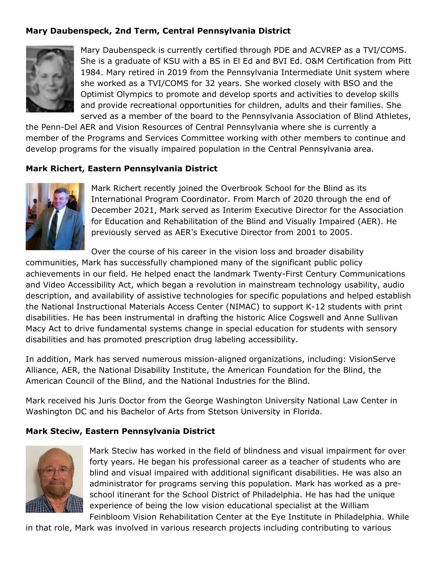## <span id="page-2-0"></span>**Mary Daubenspeck, 2nd Term, Central Pennsylvania District**



Mary Daubenspeck is currently certified through PDE and ACVREP as a TVI/COMS. She is a graduate of KSU with a BS in El Ed and BVI Ed. O&M Certification from Pitt 1984. Mary retired in 2019 from the Pennsylvania Intermediate Unit system where she worked as a TVI/COMS for 32 years. She worked closely with BSO and the Optimist Olympics to promote and develop sports and activities to develop skills and provide recreational opportunities for children, adults and their families. She served as a member of the board to the Pennsylvania Association of Blind Athletes,

the Penn-Del AER and Vision Resources of Central Pennsylvania where she is currently a member of the Programs and Services Committee working with other members to continue and develop programs for the visually impaired population in the Central Pennsylvania area.

#### <span id="page-2-1"></span>**Mark Richert, Eastern Pennsylvania District**



Mark Richert recently joined the Overbrook School for the Blind as its International Program Coordinator. From March of 2020 through the end of December 2021, Mark served as Interim Executive Director for the Association for Education and Rehabilitation of the Blind and Visually Impaired (AER). He previously served as AER's Executive Director from 2001 to 2005.

Over the course of his career in the vision loss and broader disability

communities, Mark has successfully championed many of the significant public policy achievements in our field. He helped enact the landmark Twenty-First Century Communications and Video Accessibility Act, which began a revolution in mainstream technology usability, audio description, and availability of assistive technologies for specific populations and helped establish the National Instructional Materials Access Center (NIMAC) to support K-12 students with print disabilities. He has been instrumental in drafting the historic Alice Cogswell and Anne Sullivan Macy Act to drive fundamental systems change in special education for students with sensory disabilities and has promoted prescription drug labeling accessibility.

In addition, Mark has served numerous mission-aligned organizations, including: VisionServe Alliance, AER, the National Disability Institute, the American Foundation for the Blind, the American Council of the Blind, and the National Industries for the Blind.

Mark received his Juris Doctor from the George Washington University National Law Center in Washington DC and his Bachelor of Arts from Stetson University in Florida.

#### <span id="page-2-2"></span>**Mark Steciw, Eastern Pennsylvania District**



Mark Steciw has worked in the field of blindness and visual impairment for over forty years. He began his professional career as a teacher of students who are blind and visual impaired with additional significant disabilities. He was also an administrator for programs serving this population. Mark has worked as a preschool itinerant for the School District of Philadelphia. He has had the unique experience of being the low vision educational specialist at the William Feinbloom Vision Rehabilitation Center at the Eye Institute in Philadelphia. While

in that role, Mark was involved in various research projects including contributing to various